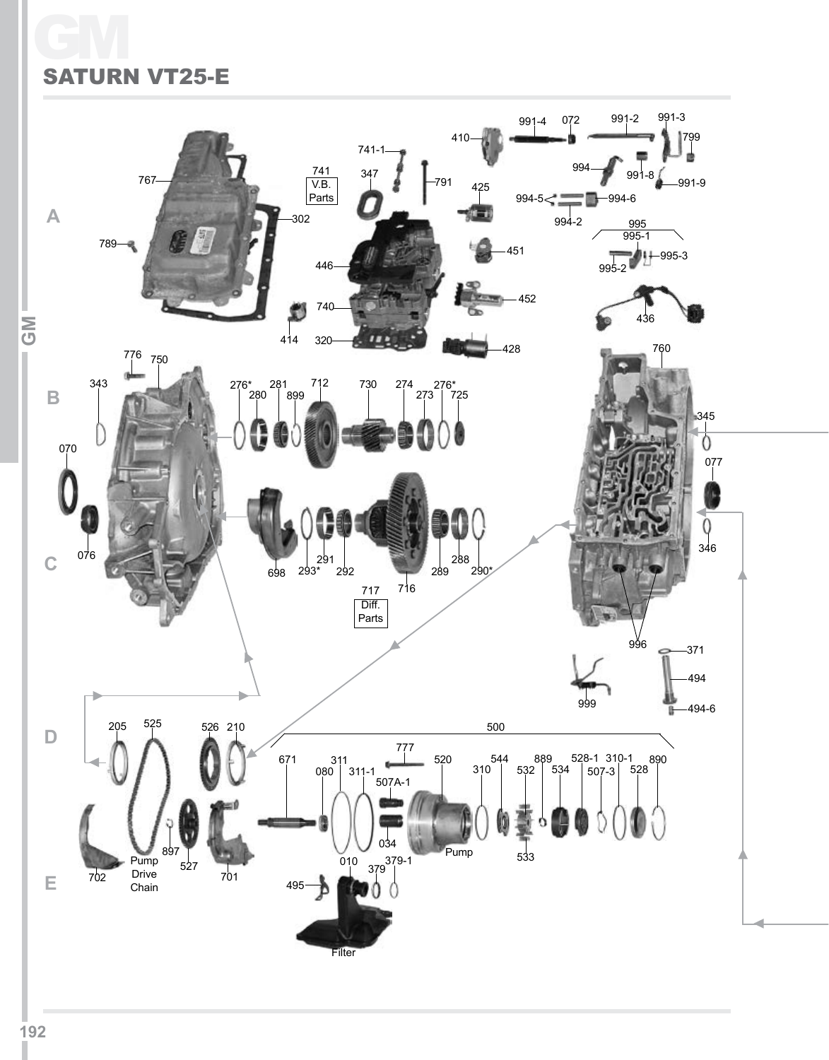# GM SATURN VT25-E

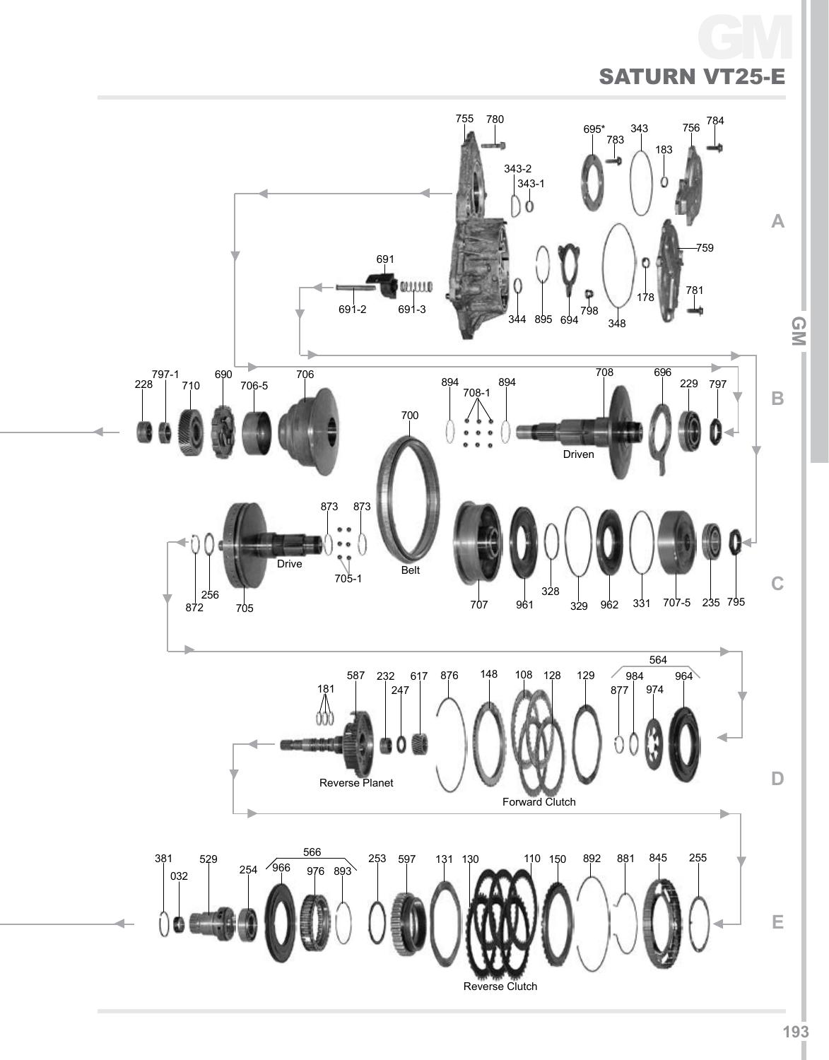

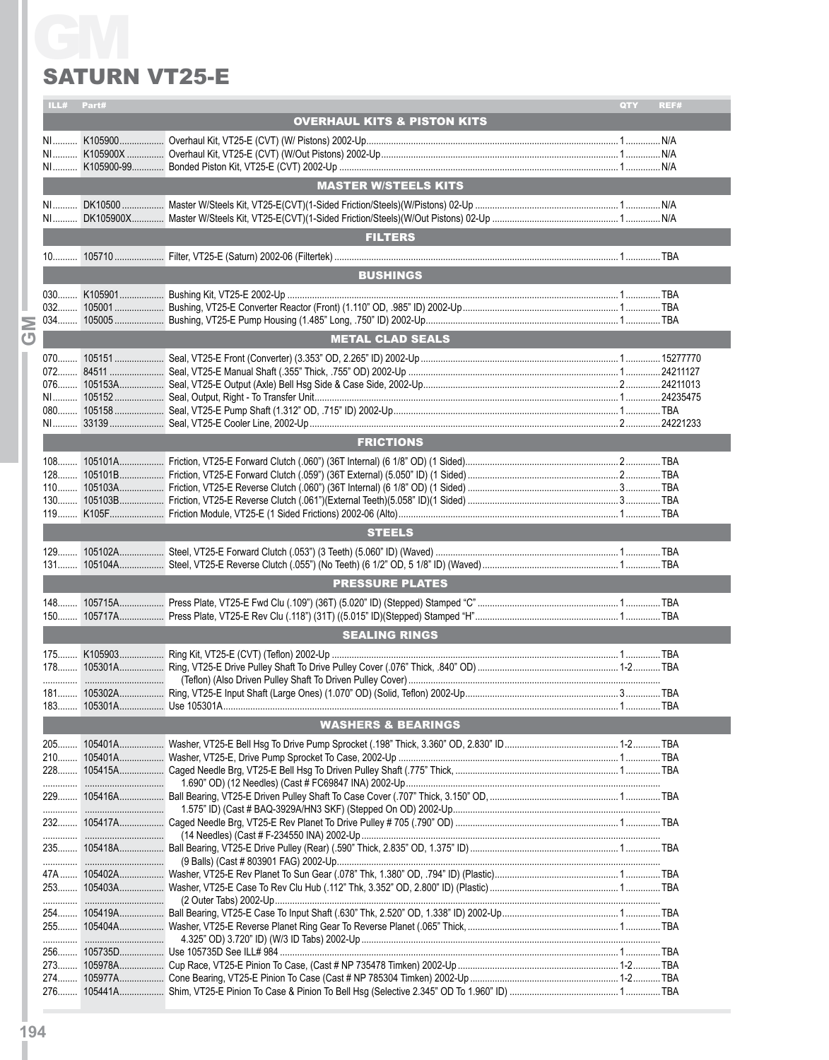## **SATURN VT25-E**

|       | ILL# Part# | <b>SATURN VT25-E</b>                   | QTY<br>REF# |
|-------|------------|----------------------------------------|-------------|
|       |            | <b>OVERHAUL KITS &amp; PISTON KITS</b> |             |
|       |            |                                        |             |
|       |            |                                        |             |
|       |            |                                        |             |
|       |            | <b>MASTER W/STEELS KITS</b>            |             |
|       |            |                                        |             |
|       |            |                                        |             |
|       |            |                                        |             |
|       |            | <b>FILTERS</b>                         |             |
|       |            |                                        |             |
|       |            | <b>BUSHINGS</b>                        |             |
|       |            |                                        |             |
| $032$ |            |                                        |             |
| $034$ |            |                                        |             |
|       |            |                                        |             |
|       |            | <b>METAL CLAD SEALS</b>                |             |
|       |            |                                        |             |
|       |            |                                        |             |
|       |            |                                        |             |
|       |            |                                        |             |
|       |            |                                        |             |
|       |            | <b>FRICTIONS</b>                       |             |
|       |            |                                        |             |
|       |            |                                        |             |
|       |            |                                        |             |
|       |            |                                        |             |
|       |            |                                        |             |
|       |            | <b>STEELS</b>                          |             |
|       |            |                                        |             |
| $131$ |            |                                        |             |
|       |            |                                        |             |
|       |            | <b>PRESSURE PLATES</b>                 |             |
|       |            |                                        |             |
|       |            |                                        |             |
|       |            | <b>SEALING RINGS</b>                   |             |
|       |            |                                        |             |
|       |            |                                        |             |
|       |            |                                        |             |
|       |            |                                        |             |
|       |            |                                        |             |
|       |            | <b>WASHERS &amp; BEARINGS</b>          |             |
|       |            |                                        |             |
|       |            |                                        |             |
|       |            |                                        |             |
|       |            |                                        |             |
|       |            |                                        |             |
|       |            |                                        |             |
|       |            |                                        |             |
|       |            |                                        |             |
|       |            |                                        |             |
|       |            |                                        |             |
|       |            |                                        |             |
|       |            |                                        |             |
|       |            |                                        |             |
|       |            |                                        |             |
|       |            |                                        |             |
|       |            |                                        |             |
|       |            |                                        |             |
|       |            |                                        |             |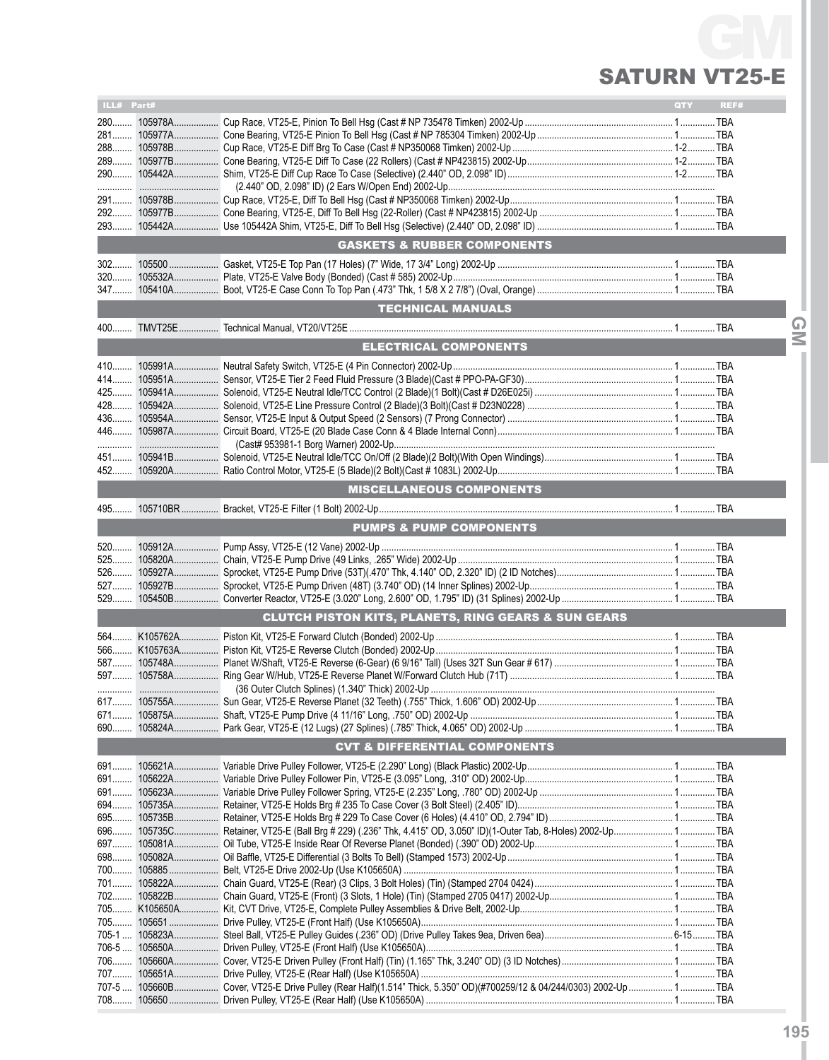### **SA** GM VT25-E

| ILL# Part# |                                                                                                                          | <b>QTY</b> | REF# |                  |
|------------|--------------------------------------------------------------------------------------------------------------------------|------------|------|------------------|
|            |                                                                                                                          |            |      |                  |
|            |                                                                                                                          |            |      |                  |
|            |                                                                                                                          |            |      |                  |
|            |                                                                                                                          |            |      |                  |
|            |                                                                                                                          |            |      |                  |
|            |                                                                                                                          |            |      |                  |
|            |                                                                                                                          |            |      |                  |
|            |                                                                                                                          |            |      |                  |
|            |                                                                                                                          |            |      |                  |
|            | <b>GASKETS &amp; RUBBER COMPONENTS</b>                                                                                   |            |      |                  |
|            |                                                                                                                          |            |      |                  |
|            |                                                                                                                          |            |      |                  |
|            |                                                                                                                          |            |      |                  |
|            | <b>TECHNICAL MANUALS</b>                                                                                                 |            |      |                  |
|            |                                                                                                                          |            |      | $\mathbf \Omega$ |
|            |                                                                                                                          |            |      | $\leq$           |
|            | <b>ELECTRICAL COMPONENTS</b>                                                                                             |            |      |                  |
|            |                                                                                                                          |            |      |                  |
|            |                                                                                                                          |            |      |                  |
|            |                                                                                                                          |            |      |                  |
|            |                                                                                                                          |            |      |                  |
|            |                                                                                                                          |            |      |                  |
|            |                                                                                                                          |            |      |                  |
|            |                                                                                                                          |            |      |                  |
|            |                                                                                                                          |            |      |                  |
|            |                                                                                                                          |            |      |                  |
|            | <b>MISCELLANEOUS COMPONENTS</b>                                                                                          |            |      |                  |
|            |                                                                                                                          |            |      |                  |
|            | <b>PUMPS &amp; PUMP COMPONENTS</b>                                                                                       |            |      |                  |
|            |                                                                                                                          |            |      |                  |
|            |                                                                                                                          |            |      |                  |
| 526        |                                                                                                                          |            |      |                  |
|            |                                                                                                                          |            |      |                  |
| 529        |                                                                                                                          |            |      |                  |
|            | <b>CLUTCH PISTON KITS, PLANETS, RING GEARS &amp; SUN GEARS</b>                                                           |            |      |                  |
|            |                                                                                                                          |            |      |                  |
|            |                                                                                                                          |            |      |                  |
|            |                                                                                                                          |            |      |                  |
|            |                                                                                                                          |            |      |                  |
|            |                                                                                                                          |            |      |                  |
|            |                                                                                                                          |            |      |                  |
|            |                                                                                                                          |            |      |                  |
|            |                                                                                                                          |            |      |                  |
|            |                                                                                                                          |            |      |                  |
|            | <b>CVT &amp; DIFFERENTIAL COMPONENTS</b>                                                                                 |            |      |                  |
|            |                                                                                                                          |            |      |                  |
|            |                                                                                                                          |            |      |                  |
|            |                                                                                                                          |            |      |                  |
|            |                                                                                                                          |            |      |                  |
|            |                                                                                                                          |            |      |                  |
|            |                                                                                                                          |            |      |                  |
|            |                                                                                                                          |            |      |                  |
|            |                                                                                                                          |            |      |                  |
|            |                                                                                                                          |            |      |                  |
|            |                                                                                                                          |            |      |                  |
|            |                                                                                                                          |            |      |                  |
|            |                                                                                                                          |            |      |                  |
|            |                                                                                                                          |            |      |                  |
|            |                                                                                                                          |            |      |                  |
|            |                                                                                                                          |            |      |                  |
|            |                                                                                                                          |            |      |                  |
|            |                                                                                                                          |            |      |                  |
|            | 707-5  105660B  Cover, VT25-E Drive Pulley (Rear Half)(1.514" Thick, 5.350" OD)(#700259/12 & 04/244/0303) 2002-Up  1 TBA |            |      |                  |
|            |                                                                                                                          |            |      |                  |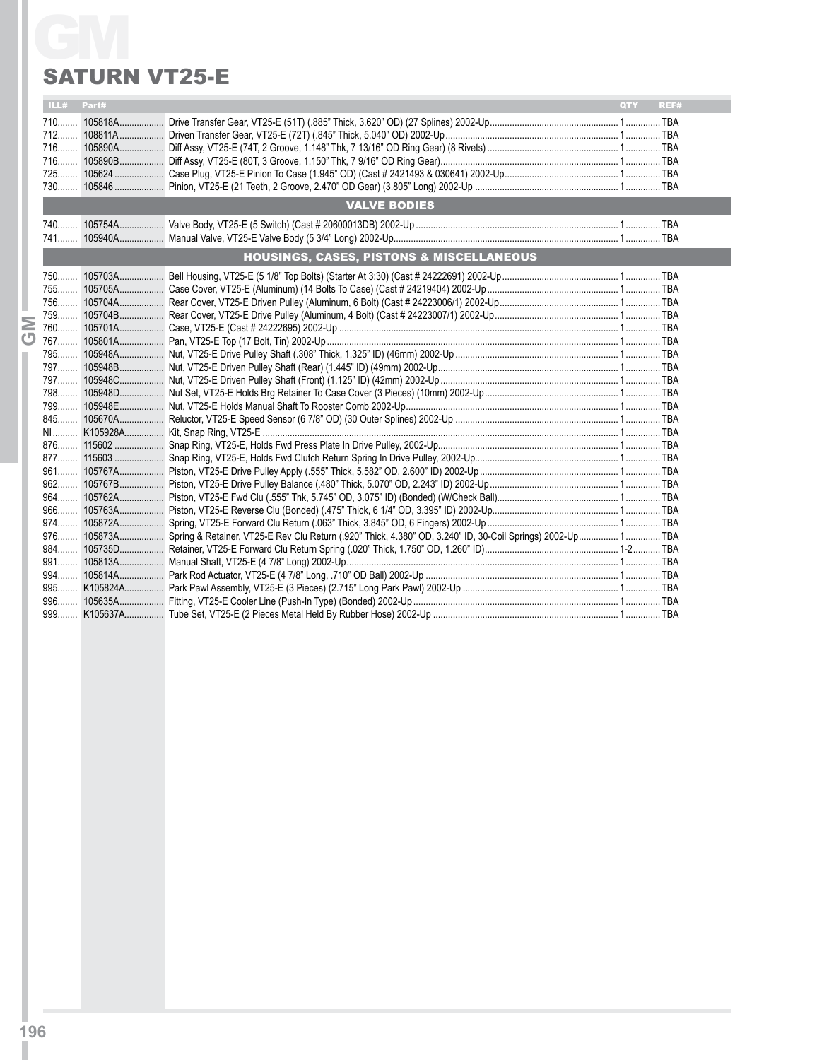## **SATURN VT25-E**

|                                                     | <b>SATURN VT25-E</b> |                                                                                                                         |  |      |  |  |  |
|-----------------------------------------------------|----------------------|-------------------------------------------------------------------------------------------------------------------------|--|------|--|--|--|
| ILL#                                                | Part#                |                                                                                                                         |  | REF# |  |  |  |
|                                                     |                      |                                                                                                                         |  |      |  |  |  |
|                                                     |                      | <b>VALVE BODIES</b>                                                                                                     |  |      |  |  |  |
|                                                     |                      |                                                                                                                         |  |      |  |  |  |
| <b>HOUSINGS, CASES, PISTONS &amp; MISCELLANEOUS</b> |                      |                                                                                                                         |  |      |  |  |  |
|                                                     |                      |                                                                                                                         |  |      |  |  |  |
|                                                     |                      |                                                                                                                         |  |      |  |  |  |
|                                                     |                      |                                                                                                                         |  |      |  |  |  |
|                                                     |                      |                                                                                                                         |  |      |  |  |  |
|                                                     |                      |                                                                                                                         |  |      |  |  |  |
|                                                     |                      |                                                                                                                         |  |      |  |  |  |
|                                                     |                      |                                                                                                                         |  |      |  |  |  |
|                                                     |                      | 976 105873A Spring & Retainer, VT25-E Rev Clu Return (.920" Thick, 4.380" OD, 3.240" ID, 30-Coil Springs) 2002-Up 1 TBA |  |      |  |  |  |
|                                                     |                      |                                                                                                                         |  |      |  |  |  |
|                                                     |                      |                                                                                                                         |  |      |  |  |  |